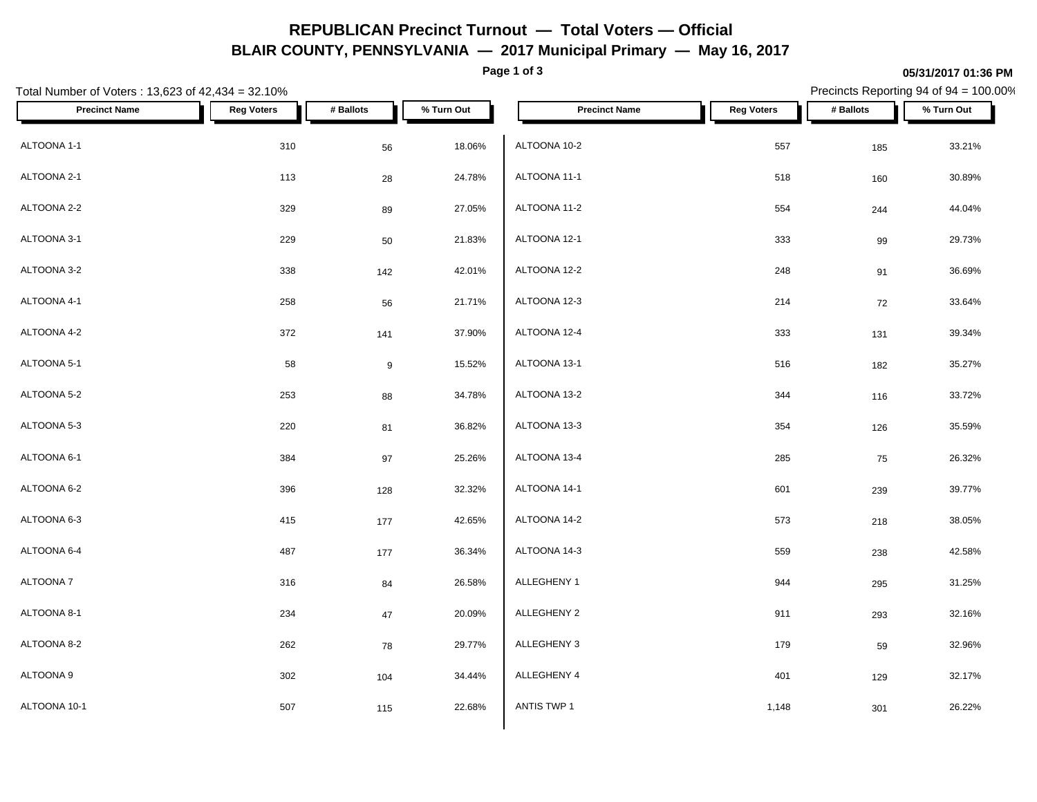# **REPUBLICAN Precinct Turnout — Total Voters — Official BLAIR COUNTY, PENNSYLVANIA — 2017 Municipal Primary — May 16, 2017**

**Page 1 of 3**

#### **05/31/2017 01:36 PM**

Precincts Reporting 94 of 94 = 100.00%

| Total Number of Voters: 13,623 of 42,434 = 32.10% |                   |                  |            |                      |                   |           | Precincts Reporting 94 of 94 = 100.00% |  |
|---------------------------------------------------|-------------------|------------------|------------|----------------------|-------------------|-----------|----------------------------------------|--|
| <b>Precinct Name</b>                              | <b>Reg Voters</b> | # Ballots        | % Turn Out | <b>Precinct Name</b> | <b>Reg Voters</b> | # Ballots | % Turn Out                             |  |
| ALTOONA 1-1                                       | 310               | 56               | 18.06%     | ALTOONA 10-2         | 557               | 185       | 33.21%                                 |  |
| ALTOONA 2-1                                       | 113               | 28               | 24.78%     | ALTOONA 11-1         | 518               | 160       | 30.89%                                 |  |
| ALTOONA 2-2                                       | 329               | 89               | 27.05%     | ALTOONA 11-2         | 554               | 244       | 44.04%                                 |  |
| ALTOONA 3-1                                       | 229               | 50               | 21.83%     | ALTOONA 12-1         | 333               | 99        | 29.73%                                 |  |
| ALTOONA 3-2                                       | 338               | 142              | 42.01%     | ALTOONA 12-2         | 248               | 91        | 36.69%                                 |  |
| ALTOONA 4-1                                       | 258               | 56               | 21.71%     | ALTOONA 12-3         | 214               | 72        | 33.64%                                 |  |
| ALTOONA 4-2                                       | 372               | 141              | 37.90%     | ALTOONA 12-4         | 333               | 131       | 39.34%                                 |  |
| ALTOONA 5-1                                       | 58                | $\boldsymbol{9}$ | 15.52%     | ALTOONA 13-1         | 516               | 182       | 35.27%                                 |  |
| ALTOONA 5-2                                       | 253               | 88               | 34.78%     | ALTOONA 13-2         | 344               | 116       | 33.72%                                 |  |
| ALTOONA 5-3                                       | 220               | 81               | 36.82%     | ALTOONA 13-3         | 354               | 126       | 35.59%                                 |  |
| ALTOONA 6-1                                       | 384               | 97               | 25.26%     | ALTOONA 13-4         | 285               | 75        | 26.32%                                 |  |
| ALTOONA 6-2                                       | 396               | 128              | 32.32%     | ALTOONA 14-1         | 601               | 239       | 39.77%                                 |  |
| ALTOONA 6-3                                       | 415               | 177              | 42.65%     | ALTOONA 14-2         | 573               | 218       | 38.05%                                 |  |
| ALTOONA 6-4                                       | 487               | 177              | 36.34%     | ALTOONA 14-3         | 559               | 238       | 42.58%                                 |  |
| ALTOONA 7                                         | 316               | 84               | 26.58%     | ALLEGHENY 1          | 944               | 295       | 31.25%                                 |  |
| ALTOONA 8-1                                       | 234               | 47               | 20.09%     | ALLEGHENY 2          | 911               | 293       | 32.16%                                 |  |
| ALTOONA 8-2                                       | 262               | 78               | 29.77%     | ALLEGHENY 3          | 179               | 59        | 32.96%                                 |  |
| ALTOONA 9                                         | 302               | 104              | 34.44%     | ALLEGHENY 4          | 401               | 129       | 32.17%                                 |  |
| ALTOONA 10-1                                      | 507               | 115              | 22.68%     | ANTIS TWP 1          | 1,148             | 301       | 26.22%                                 |  |
|                                                   |                   |                  |            |                      |                   |           |                                        |  |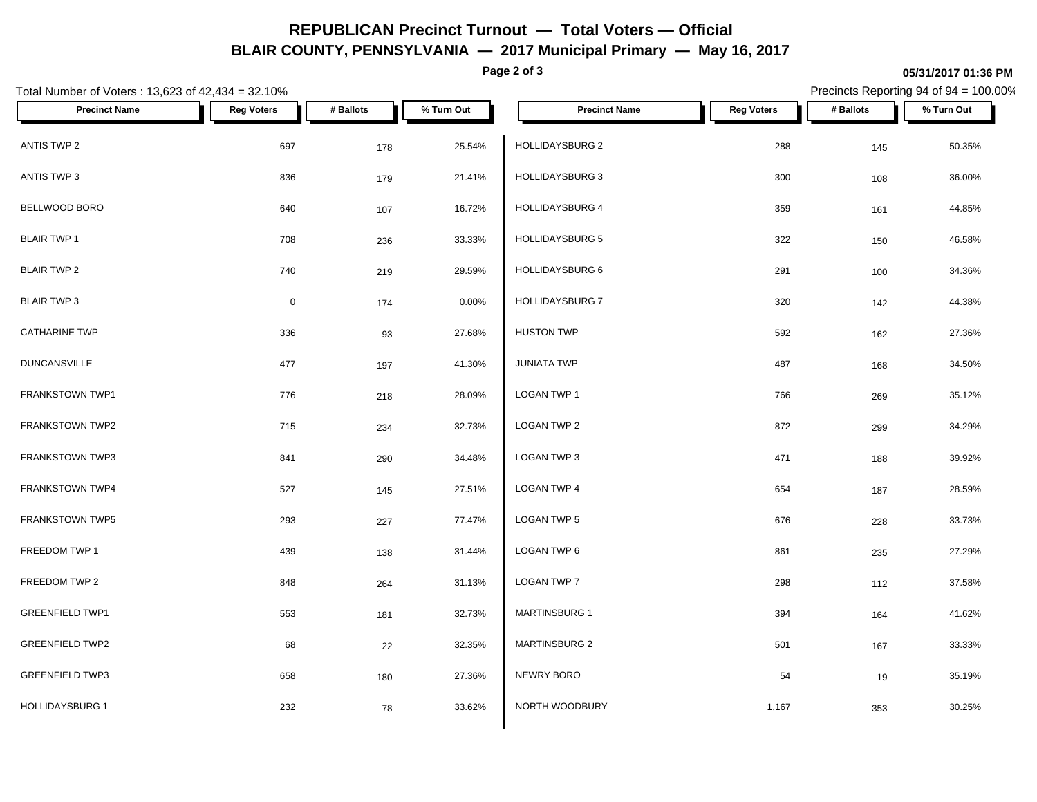# **REPUBLICAN Precinct Turnout — Total Voters — Official BLAIR COUNTY, PENNSYLVANIA — 2017 Municipal Primary — May 16, 2017**

**Page 2 of 3**

#### **05/31/2017 01:36 PM**

Precincts Reporting 94 of 94 = 100.00%

| Total Number of Voters: 13,623 of 42,434 = 32.10% |                   |           |            |                        | Precincts Reporting 94 of 94 = 100.00% |           |            |
|---------------------------------------------------|-------------------|-----------|------------|------------------------|----------------------------------------|-----------|------------|
| <b>Precinct Name</b>                              | <b>Reg Voters</b> | # Ballots | % Turn Out | <b>Precinct Name</b>   | <b>Reg Voters</b>                      | # Ballots | % Turn Out |
| ANTIS TWP 2                                       | 697               | 178       | 25.54%     | HOLLIDAYSBURG 2        | 288                                    | 145       | 50.35%     |
| ANTIS TWP 3                                       | 836               | 179       | 21.41%     | <b>HOLLIDAYSBURG 3</b> | 300                                    | 108       | 36.00%     |
| BELLWOOD BORO                                     | 640               | 107       | 16.72%     | HOLLIDAYSBURG 4        | 359                                    | 161       | 44.85%     |
| <b>BLAIR TWP 1</b>                                | 708               | 236       | 33.33%     | HOLLIDAYSBURG 5        | 322                                    | 150       | 46.58%     |
| <b>BLAIR TWP 2</b>                                | 740               | 219       | 29.59%     | HOLLIDAYSBURG 6        | 291                                    | 100       | 34.36%     |
| <b>BLAIR TWP 3</b>                                | $\mathbf 0$       | 174       | 0.00%      | <b>HOLLIDAYSBURG 7</b> | 320                                    | 142       | 44.38%     |
| <b>CATHARINE TWP</b>                              | 336               | 93        | 27.68%     | <b>HUSTON TWP</b>      | 592                                    | 162       | 27.36%     |
| <b>DUNCANSVILLE</b>                               | 477               | 197       | 41.30%     | <b>JUNIATA TWP</b>     | 487                                    | 168       | 34.50%     |
| FRANKSTOWN TWP1                                   | 776               | 218       | 28.09%     | LOGAN TWP 1            | 766                                    | 269       | 35.12%     |
| FRANKSTOWN TWP2                                   | 715               | 234       | 32.73%     | LOGAN TWP 2            | 872                                    | 299       | 34.29%     |
| <b>FRANKSTOWN TWP3</b>                            | 841               | 290       | 34.48%     | LOGAN TWP 3            | 471                                    | 188       | 39.92%     |
| FRANKSTOWN TWP4                                   | 527               | 145       | 27.51%     | LOGAN TWP 4            | 654                                    | 187       | 28.59%     |
| <b>FRANKSTOWN TWP5</b>                            | 293               | 227       | 77.47%     | LOGAN TWP 5            | 676                                    | 228       | 33.73%     |
| FREEDOM TWP 1                                     | 439               | 138       | 31.44%     | LOGAN TWP 6            | 861                                    | 235       | 27.29%     |
| FREEDOM TWP 2                                     | 848               | 264       | 31.13%     | LOGAN TWP 7            | 298                                    | 112       | 37.58%     |
| <b>GREENFIELD TWP1</b>                            | 553               | 181       | 32.73%     | <b>MARTINSBURG 1</b>   | 394                                    | 164       | 41.62%     |
| <b>GREENFIELD TWP2</b>                            | 68                | 22        | 32.35%     | <b>MARTINSBURG 2</b>   | 501                                    | 167       | 33.33%     |
| <b>GREENFIELD TWP3</b>                            | 658               | 180       | 27.36%     | NEWRY BORO             | 54                                     | 19        | 35.19%     |
| <b>HOLLIDAYSBURG 1</b>                            | 232               | 78        | 33.62%     | NORTH WOODBURY         | 1,167                                  | 353       | 30.25%     |
|                                                   |                   |           |            |                        |                                        |           |            |